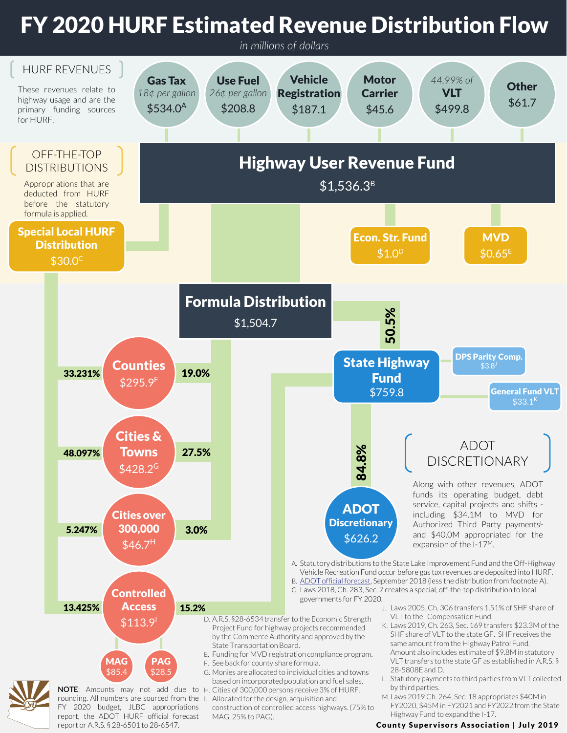## FY 2020 HURF Estimated Revenue Distribution Flow